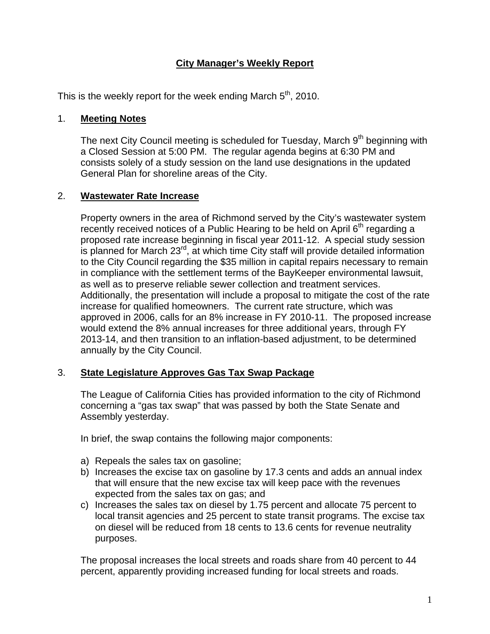# **City Manager's Weekly Report**

This is the weekly report for the week ending March  $5<sup>th</sup>$ , 2010.

#### 1. **Meeting Notes**

The next City Council meeting is scheduled for Tuesday, March  $9<sup>th</sup>$  beginning with a Closed Session at 5:00 PM. The regular agenda begins at 6:30 PM and consists solely of a study session on the land use designations in the updated General Plan for shoreline areas of the City.

### 2. **Wastewater Rate Increase**

Property owners in the area of Richmond served by the City's wastewater system recently received notices of a Public Hearing to be held on April  $6<sup>th</sup>$  regarding a proposed rate increase beginning in fiscal year 2011-12. A special study session is planned for March  $23<sup>rd</sup>$ , at which time City staff will provide detailed information to the City Council regarding the \$35 million in capital repairs necessary to remain in compliance with the settlement terms of the BayKeeper environmental lawsuit, as well as to preserve reliable sewer collection and treatment services. Additionally, the presentation will include a proposal to mitigate the cost of the rate increase for qualified homeowners. The current rate structure, which was approved in 2006, calls for an 8% increase in FY 2010-11. The proposed increase would extend the 8% annual increases for three additional years, through FY 2013-14, and then transition to an inflation-based adjustment, to be determined annually by the City Council.

# 3. **State Legislature Approves Gas Tax Swap Package**

The League of California Cities has provided information to the city of Richmond concerning a "gas tax swap" that was passed by both the State Senate and Assembly yesterday.

In brief, the swap contains the following major components:

- a) Repeals the sales tax on gasoline;
- b) Increases the excise tax on gasoline by 17.3 cents and adds an annual index that will ensure that the new excise tax will keep pace with the revenues expected from the sales tax on gas; and
- c) Increases the sales tax on diesel by 1.75 percent and allocate 75 percent to local transit agencies and 25 percent to state transit programs. The excise tax on diesel will be reduced from 18 cents to 13.6 cents for revenue neutrality purposes.

The proposal increases the local streets and roads share from 40 percent to 44 percent, apparently providing increased funding for local streets and roads.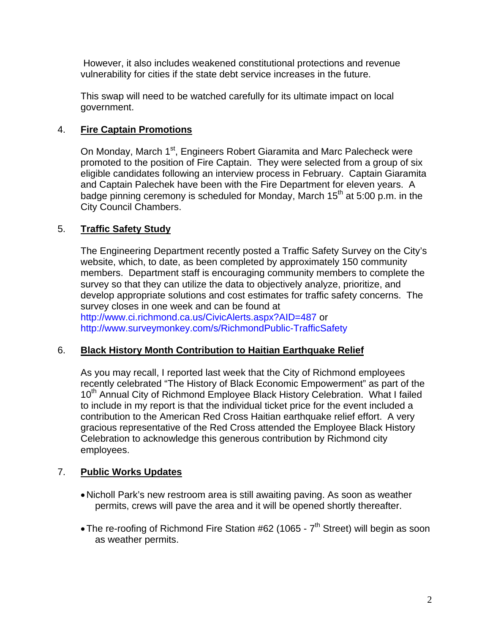However, it also includes weakened constitutional protections and revenue vulnerability for cities if the state debt service increases in the future.

This swap will need to be watched carefully for its ultimate impact on local government.

# 4. **Fire Captain Promotions**

On Monday, March 1<sup>st</sup>, Engineers Robert Giaramita and Marc Palecheck were promoted to the position of Fire Captain. They were selected from a group of six eligible candidates following an interview process in February. Captain Giaramita and Captain Palechek have been with the Fire Department for eleven years. A badge pinning ceremony is scheduled for Monday, March  $15<sup>th</sup>$  at 5:00 p.m. in the City Council Chambers.

### 5. **Traffic Safety Study**

The Engineering Department recently posted a Traffic Safety Survey on the City's website, which, to date, as been completed by approximately 150 community members. Department staff is encouraging community members to complete the survey so that they can utilize the data to objectively analyze, prioritize, and develop appropriate solutions and cost estimates for traffic safety concerns. The survey closes in one week and can be found at <http://www.ci.richmond.ca.us/CivicAlerts.aspx?AID=487>or <http://www.surveymonkey.com/s/RichmondPublic-TrafficSafety>

#### 6. **Black History Month Contribution to Haitian Earthquake Relief**

As you may recall, I reported last week that the City of Richmond employees recently celebrated "The History of Black Economic Empowerment" as part of the 10<sup>th</sup> Annual City of Richmond Employee Black History Celebration. What I failed to include in my report is that the individual ticket price for the event included a contribution to the American Red Cross Haitian earthquake relief effort. A very gracious representative of the Red Cross attended the Employee Black History Celebration to acknowledge this generous contribution by Richmond city employees.

#### 7. **Public Works Updates**

- Nicholl Park's new restroom area is still awaiting paving. As soon as weather permits, crews will pave the area and it will be opened shortly thereafter.
- The re-roofing of Richmond Fire Station #62 (1065  $7<sup>th</sup>$  Street) will begin as soon as weather permits.